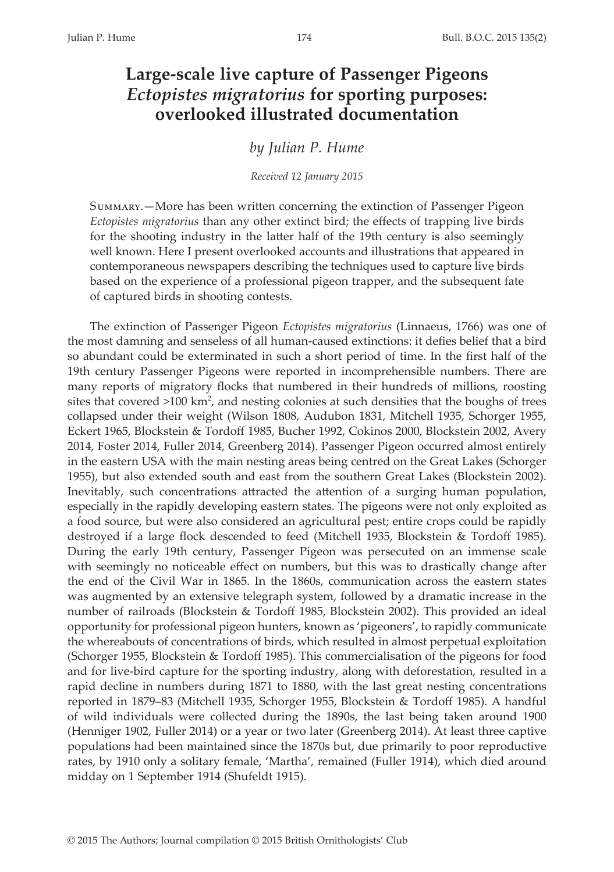# **Large-scale live capture of Passenger Pigeons**  *Ectopistes migratorius* **for sporting purposes: overlooked illustrated documentation**

*by Julian P. Hume*

*Received 12 January 2015*

Summary.—More has been written concerning the extinction of Passenger Pigeon *Ectopistes migratorius* than any other extinct bird; the effects of trapping live birds for the shooting industry in the latter half of the 19th century is also seemingly well known. Here I present overlooked accounts and illustrations that appeared in contemporaneous newspapers describing the techniques used to capture live birds based on the experience of a professional pigeon trapper, and the subsequent fate of captured birds in shooting contests.

The extinction of Passenger Pigeon *Ectopistes migratorius* (Linnaeus, 1766) was one of the most damning and senseless of all human-caused extinctions: it defies belief that a bird so abundant could be exterminated in such a short period of time. In the first half of the 19th century Passenger Pigeons were reported in incomprehensible numbers. There are many reports of migratory flocks that numbered in their hundreds of millions, roosting sites that covered  $>100$  km<sup>2</sup>, and nesting colonies at such densities that the boughs of trees collapsed under their weight (Wilson 1808, Audubon 1831, Mitchell 1935, Schorger 1955, Eckert 1965, Blockstein & Tordoff 1985, Bucher 1992, Cokinos 2000, Blockstein 2002, Avery 2014, Foster 2014, Fuller 2014, Greenberg 2014). Passenger Pigeon occurred almost entirely in the eastern USA with the main nesting areas being centred on the Great Lakes (Schorger 1955), but also extended south and east from the southern Great Lakes (Blockstein 2002). Inevitably, such concentrations attracted the attention of a surging human population, especially in the rapidly developing eastern states. The pigeons were not only exploited as a food source, but were also considered an agricultural pest; entire crops could be rapidly destroyed if a large flock descended to feed (Mitchell 1935, Blockstein & Tordoff 1985). During the early 19th century, Passenger Pigeon was persecuted on an immense scale with seemingly no noticeable effect on numbers, but this was to drastically change after the end of the Civil War in 1865. In the 1860s, communication across the eastern states was augmented by an extensive telegraph system, followed by a dramatic increase in the number of railroads (Blockstein & Tordoff 1985, Blockstein 2002). This provided an ideal opportunity for professional pigeon hunters, known as 'pigeoners', to rapidly communicate the whereabouts of concentrations of birds, which resulted in almost perpetual exploitation (Schorger 1955, Blockstein & Tordoff 1985). This commercialisation of the pigeons for food and for live-bird capture for the sporting industry, along with deforestation, resulted in a rapid decline in numbers during 1871 to 1880, with the last great nesting concentrations reported in 1879–83 (Mitchell 1935, Schorger 1955, Blockstein & Tordoff 1985). A handful of wild individuals were collected during the 1890s, the last being taken around 1900 (Henniger 1902, Fuller 2014) or a year or two later (Greenberg 2014). At least three captive populations had been maintained since the 1870s but, due primarily to poor reproductive rates, by 1910 only a solitary female, 'Martha', remained (Fuller 1914), which died around midday on 1 September 1914 (Shufeldt 1915).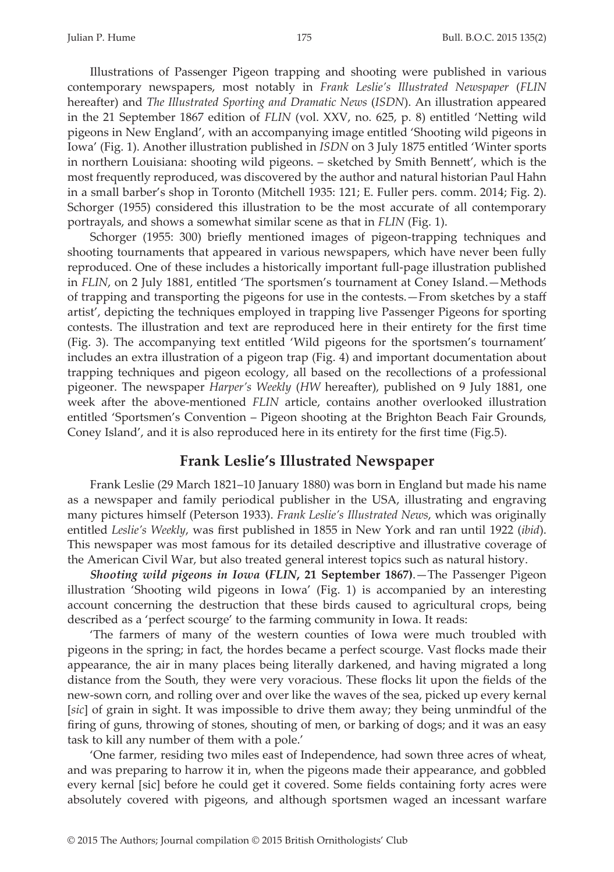Illustrations of Passenger Pigeon trapping and shooting were published in various contemporary newspapers, most notably in *Frank Leslie's Illustrated Newspaper* (*FLIN* hereafter) and *The Illustrated Sporting and Dramatic News* (*ISDN*). An illustration appeared in the 21 September 1867 edition of *FLIN* (vol. XXV, no. 625, p. 8) entitled 'Netting wild pigeons in New England', with an accompanying image entitled 'Shooting wild pigeons in Iowa' (Fig. 1). Another illustration published in *ISDN* on 3 July 1875 entitled 'Winter sports in northern Louisiana: shooting wild pigeons. – sketched by Smith Bennett', which is the most frequently reproduced, was discovered by the author and natural historian Paul Hahn in a small barber's shop in Toronto (Mitchell 1935: 121; E. Fuller pers. comm. 2014; Fig. 2). Schorger (1955) considered this illustration to be the most accurate of all contemporary portrayals, and shows a somewhat similar scene as that in *FLIN* (Fig. 1).

Schorger (1955: 300) briefly mentioned images of pigeon-trapping techniques and shooting tournaments that appeared in various newspapers, which have never been fully reproduced. One of these includes a historically important full-page illustration published in *FLIN*, on 2 July 1881, entitled 'The sportsmen's tournament at Coney Island.—Methods of trapping and transporting the pigeons for use in the contests.—From sketches by a staff artist', depicting the techniques employed in trapping live Passenger Pigeons for sporting contests. The illustration and text are reproduced here in their entirety for the first time (Fig. 3). The accompanying text entitled 'Wild pigeons for the sportsmen's tournament' includes an extra illustration of a pigeon trap (Fig. 4) and important documentation about trapping techniques and pigeon ecology, all based on the recollections of a professional pigeoner. The newspaper *Harper's Weekly* (*HW* hereafter), published on 9 July 1881, one week after the above-mentioned *FLIN* article, contains another overlooked illustration entitled 'Sportsmen's Convention – Pigeon shooting at the Brighton Beach Fair Grounds, Coney Island', and it is also reproduced here in its entirety for the first time (Fig.5).

#### **Frank Leslie's Illustrated Newspaper**

Frank Leslie (29 March 1821–10 January 1880) was born in England but made his name as a newspaper and family periodical publisher in the USA, illustrating and engraving many pictures himself (Peterson 1933). *Frank Leslie's Illustrated News*, which was originally entitled *Leslie's Weekly*, was first published in 1855 in New York and ran until 1922 (*ibid*). This newspaper was most famous for its detailed descriptive and illustrative coverage of the American Civil War, but also treated general interest topics such as natural history.

*Shooting wild pigeons in Iowa* **(***FLIN***, 21 September 1867)**.—The Passenger Pigeon illustration 'Shooting wild pigeons in Iowa' (Fig. 1) is accompanied by an interesting account concerning the destruction that these birds caused to agricultural crops, being described as a 'perfect scourge' to the farming community in Iowa. It reads:

'The farmers of many of the western counties of Iowa were much troubled with pigeons in the spring; in fact, the hordes became a perfect scourge. Vast flocks made their appearance, the air in many places being literally darkened, and having migrated a long distance from the South, they were very voracious. These flocks lit upon the fields of the new-sown corn, and rolling over and over like the waves of the sea, picked up every kernal [*sic*] of grain in sight. It was impossible to drive them away; they being unmindful of the firing of guns, throwing of stones, shouting of men, or barking of dogs; and it was an easy task to kill any number of them with a pole.'

'One farmer, residing two miles east of Independence, had sown three acres of wheat, and was preparing to harrow it in, when the pigeons made their appearance, and gobbled every kernal [sic] before he could get it covered. Some fields containing forty acres were absolutely covered with pigeons, and although sportsmen waged an incessant warfare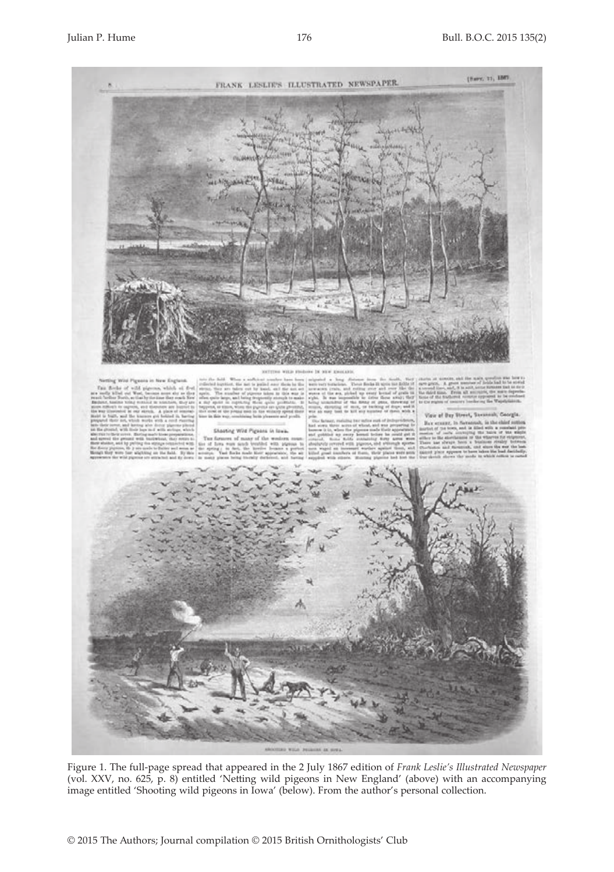

Figure 1. The full-page spread that appeared in the 2 July 1867 edition of *Frank Leslie's Illustrated Newspaper* (vol. XXV, no. 625, p. 8) entitled 'Netting wild pigeons in New England' (above) with an accompanying image entitled 'Shooting wild pigeons in Iowa' (below). From the author's personal collection.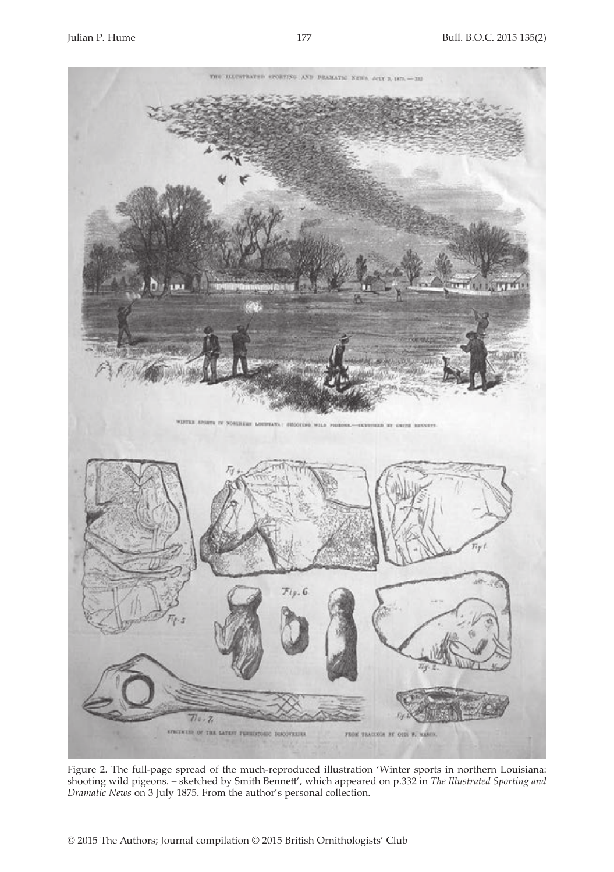

Figure 2. The full-page spread of the much-reproduced illustration 'Winter sports in northern Louisiana: shooting wild pigeons. – sketched by Smith Bennett', which appeared on p.332 in *The Illustrated Sporting and Dramatic News* on 3 July 1875. From the author's personal collection.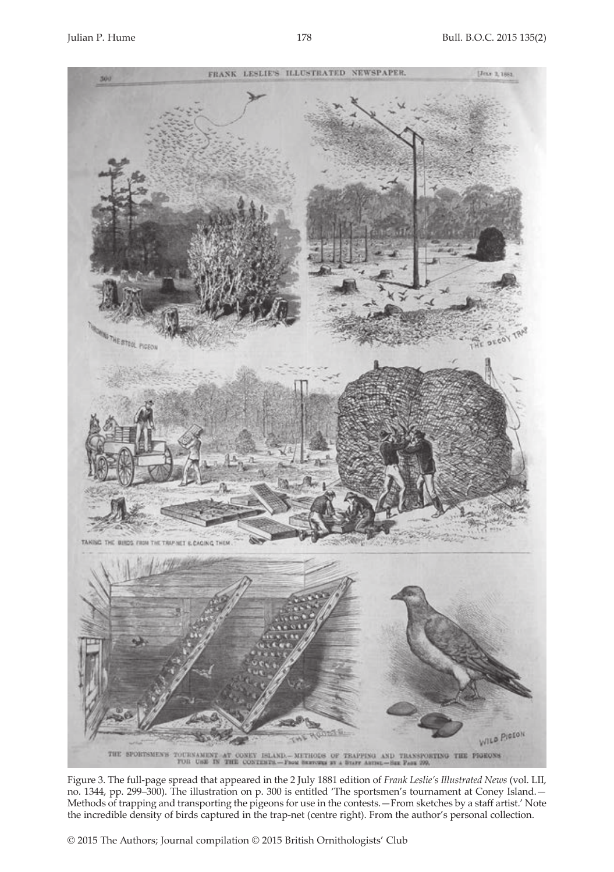

Figure 3. The full-page spread that appeared in the 2 July 1881 edition of *Frank Leslie's Illustrated News* (vol. LII, no. 1344, pp. 299–300). The illustration on p. 300 is entitled 'The sportsmen's tournament at Coney Island.— Methods of trapping and transporting the pigeons for use in the contests.—From sketches by a staff artist.' Note the incredible density of birds captured in the trap-net (centre right). From the author's personal collection.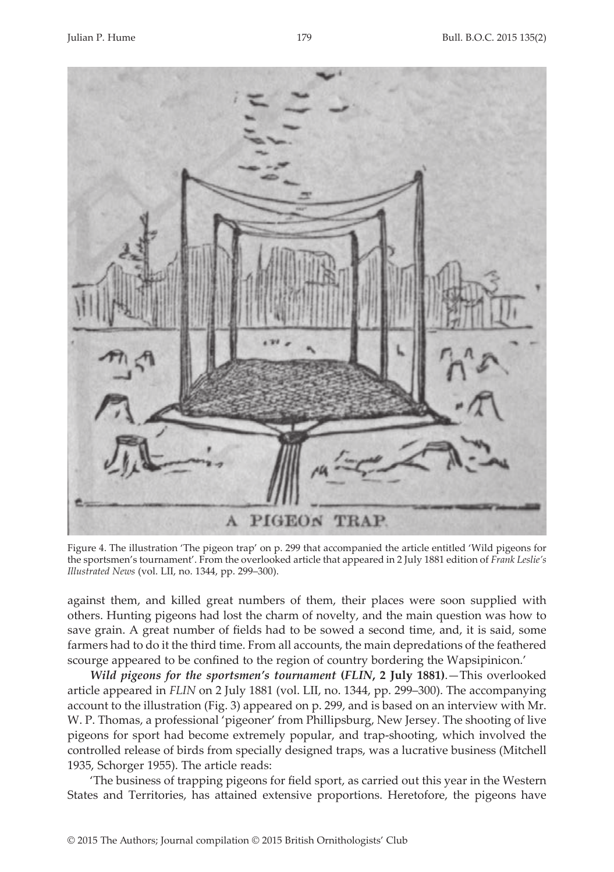

Figure 4. The illustration 'The pigeon trap' on p. 299 that accompanied the article entitled 'Wild pigeons for the sportsmen's tournament'. From the overlooked article that appeared in 2 July 1881 edition of *Frank Leslie's Illustrated News* (vol. LII, no. 1344, pp. 299–300).

against them, and killed great numbers of them, their places were soon supplied with others. Hunting pigeons had lost the charm of novelty, and the main question was how to save grain. A great number of fields had to be sowed a second time, and, it is said, some farmers had to do it the third time. From all accounts, the main depredations of the feathered scourge appeared to be confined to the region of country bordering the Wapsipinicon.'

*Wild pigeons for the sportsmen's tournament* **(***FLIN***, 2 July 1881)**.—This overlooked article appeared in *FLIN* on 2 July 1881 (vol. LII, no. 1344, pp. 299–300). The accompanying account to the illustration (Fig. 3) appeared on p. 299, and is based on an interview with Mr. W. P. Thomas, a professional 'pigeoner' from Phillipsburg, New Jersey. The shooting of live pigeons for sport had become extremely popular, and trap-shooting, which involved the controlled release of birds from specially designed traps, was a lucrative business (Mitchell 1935, Schorger 1955). The article reads:

'The business of trapping pigeons for field sport, as carried out this year in the Western States and Territories, has attained extensive proportions. Heretofore, the pigeons have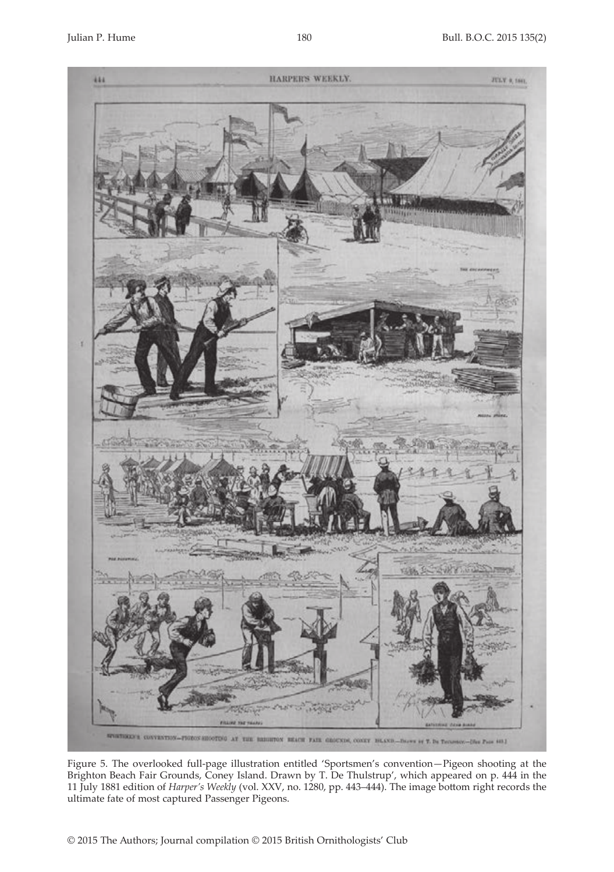

Figure 5. The overlooked full-page illustration entitled 'Sportsmen's convention—Pigeon shooting at the Brighton Beach Fair Grounds, Coney Island. Drawn by T. De Thulstrup', which appeared on p. 444 in the 11 July 1881 edition of *Harper's Weekly* (vol. XXV, no. 1280, pp. 443–444). The image bottom right records the ultimate fate of most captured Passenger Pigeons.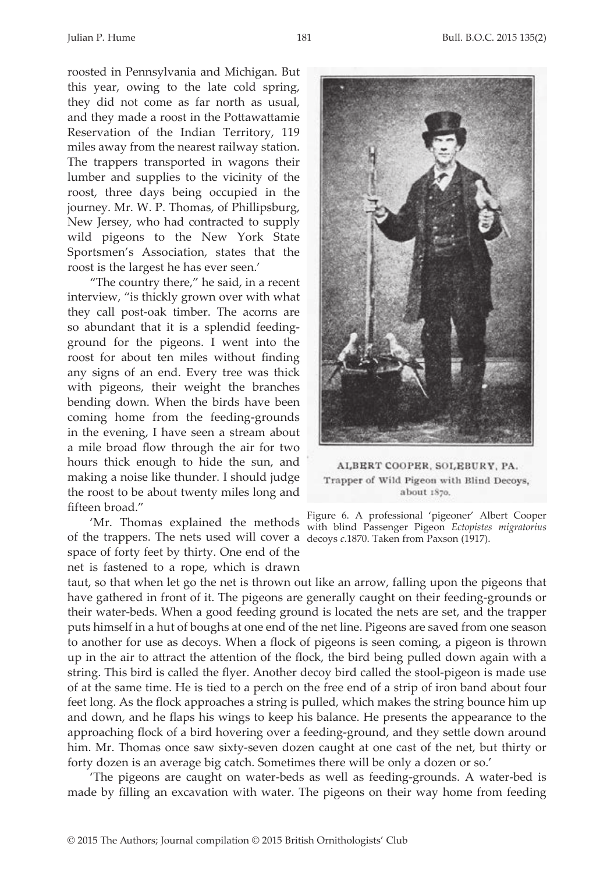roosted in Pennsylvania and Michigan. But this year, owing to the late cold spring, they did not come as far north as usual, and they made a roost in the Pottawattamie Reservation of the Indian Territory, 119 miles away from the nearest railway station. The trappers transported in wagons their lumber and supplies to the vicinity of the roost, three days being occupied in the journey. Mr. W. P. Thomas, of Phillipsburg, New Jersey, who had contracted to supply wild pigeons to the New York State Sportsmen's Association, states that the roost is the largest he has ever seen.'

"The country there," he said, in a recent interview, "is thickly grown over with what they call post-oak timber. The acorns are so abundant that it is a splendid feedingground for the pigeons. I went into the roost for about ten miles without finding any signs of an end. Every tree was thick with pigeons, their weight the branches bending down. When the birds have been coming home from the feeding-grounds in the evening, I have seen a stream about a mile broad flow through the air for two hours thick enough to hide the sun, and making a noise like thunder. I should judge the roost to be about twenty miles long and fifteen broad."

of the trappers. The nets used will cover a decoys *c*.1870. Taken from Paxson (1917).space of forty feet by thirty. One end of the net is fastened to a rope, which is drawn

taut, so that when let go the net is thrown out like an arrow, falling upon the pigeons that have gathered in front of it. The pigeons are generally caught on their feeding-grounds or their water-beds. When a good feeding ground is located the nets are set, and the trapper puts himself in a hut of boughs at one end of the net line. Pigeons are saved from one season to another for use as decoys. When a flock of pigeons is seen coming, a pigeon is thrown up in the air to attract the attention of the flock, the bird being pulled down again with a string. This bird is called the flyer. Another decoy bird called the stool-pigeon is made use of at the same time. He is tied to a perch on the free end of a strip of iron band about four feet long. As the flock approaches a string is pulled, which makes the string bounce him up and down, and he flaps his wings to keep his balance. He presents the appearance to the approaching flock of a bird hovering over a feeding-ground, and they settle down around him. Mr. Thomas once saw sixty-seven dozen caught at one cast of the net, but thirty or forty dozen is an average big catch. Sometimes there will be only a dozen or so.'

'The pigeons are caught on water-beds as well as feeding-grounds. A water-bed is made by filling an excavation with water. The pigeons on their way home from feeding



ALBERT COOPER, SOLEBURY, PA. Trapper of Wild Pigeon with Blind Decoys, about 1870.

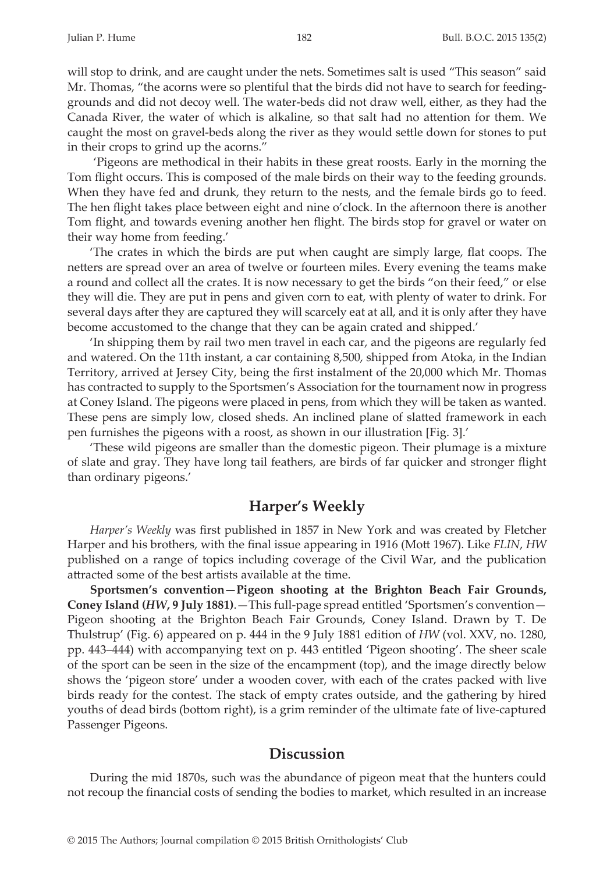will stop to drink, and are caught under the nets. Sometimes salt is used "This season" said Mr. Thomas, "the acorns were so plentiful that the birds did not have to search for feedinggrounds and did not decoy well. The water-beds did not draw well, either, as they had the Canada River, the water of which is alkaline, so that salt had no attention for them. We caught the most on gravel-beds along the river as they would settle down for stones to put in their crops to grind up the acorns."

 'Pigeons are methodical in their habits in these great roosts. Early in the morning the Tom flight occurs. This is composed of the male birds on their way to the feeding grounds. When they have fed and drunk, they return to the nests, and the female birds go to feed. The hen flight takes place between eight and nine o'clock. In the afternoon there is another Tom flight, and towards evening another hen flight. The birds stop for gravel or water on their way home from feeding.'

'The crates in which the birds are put when caught are simply large, flat coops. The netters are spread over an area of twelve or fourteen miles. Every evening the teams make a round and collect all the crates. It is now necessary to get the birds "on their feed," or else they will die. They are put in pens and given corn to eat, with plenty of water to drink. For several days after they are captured they will scarcely eat at all, and it is only after they have become accustomed to the change that they can be again crated and shipped.'

'In shipping them by rail two men travel in each car, and the pigeons are regularly fed and watered. On the 11th instant, a car containing 8,500, shipped from Atoka, in the Indian Territory, arrived at Jersey City, being the first instalment of the 20,000 which Mr. Thomas has contracted to supply to the Sportsmen's Association for the tournament now in progress at Coney Island. The pigeons were placed in pens, from which they will be taken as wanted. These pens are simply low, closed sheds. An inclined plane of slatted framework in each pen furnishes the pigeons with a roost, as shown in our illustration [Fig. 3].'

'These wild pigeons are smaller than the domestic pigeon. Their plumage is a mixture of slate and gray. They have long tail feathers, are birds of far quicker and stronger flight than ordinary pigeons.'

### **Harper's Weekly**

*Harper's Weekly* was first published in 1857 in New York and was created by Fletcher Harper and his brothers, with the final issue appearing in 1916 (Mott 1967). Like *FLIN*, *HW* published on a range of topics including coverage of the Civil War, and the publication attracted some of the best artists available at the time.

**Sportsmen's convention—Pigeon shooting at the Brighton Beach Fair Grounds, Coney Island (***HW***, 9 July 1881)**.—This full-page spread entitled 'Sportsmen's convention— Pigeon shooting at the Brighton Beach Fair Grounds, Coney Island. Drawn by T. De Thulstrup' (Fig. 6) appeared on p. 444 in the 9 July 1881 edition of *HW* (vol. XXV, no. 1280, pp. 443–444) with accompanying text on p. 443 entitled 'Pigeon shooting'. The sheer scale of the sport can be seen in the size of the encampment (top), and the image directly below shows the 'pigeon store' under a wooden cover, with each of the crates packed with live birds ready for the contest. The stack of empty crates outside, and the gathering by hired youths of dead birds (bottom right), is a grim reminder of the ultimate fate of live-captured Passenger Pigeons.

## **Discussion**

During the mid 1870s, such was the abundance of pigeon meat that the hunters could not recoup the financial costs of sending the bodies to market, which resulted in an increase

© 2015 The Authors; Journal compilation © 2015 British Ornithologists' Club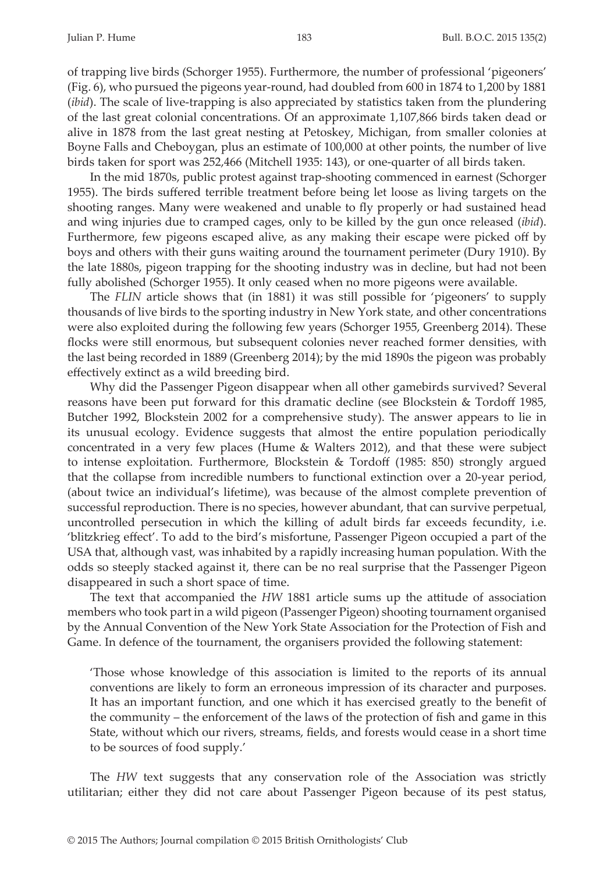of trapping live birds (Schorger 1955). Furthermore, the number of professional 'pigeoners' (Fig. 6), who pursued the pigeons year-round, had doubled from 600 in 1874 to 1,200 by 1881 (*ibid*). The scale of live-trapping is also appreciated by statistics taken from the plundering of the last great colonial concentrations. Of an approximate 1,107,866 birds taken dead or alive in 1878 from the last great nesting at Petoskey, Michigan, from smaller colonies at Boyne Falls and Cheboygan, plus an estimate of 100,000 at other points, the number of live birds taken for sport was 252,466 (Mitchell 1935: 143), or one-quarter of all birds taken.

In the mid 1870s, public protest against trap-shooting commenced in earnest (Schorger 1955). The birds suffered terrible treatment before being let loose as living targets on the shooting ranges. Many were weakened and unable to fly properly or had sustained head and wing injuries due to cramped cages, only to be killed by the gun once released (*ibid*). Furthermore, few pigeons escaped alive, as any making their escape were picked off by boys and others with their guns waiting around the tournament perimeter (Dury 1910). By the late 1880s, pigeon trapping for the shooting industry was in decline, but had not been fully abolished (Schorger 1955). It only ceased when no more pigeons were available.

The *FLIN* article shows that (in 1881) it was still possible for 'pigeoners' to supply thousands of live birds to the sporting industry in New York state, and other concentrations were also exploited during the following few years (Schorger 1955, Greenberg 2014). These flocks were still enormous, but subsequent colonies never reached former densities, with the last being recorded in 1889 (Greenberg 2014); by the mid 1890s the pigeon was probably effectively extinct as a wild breeding bird.

Why did the Passenger Pigeon disappear when all other gamebirds survived? Several reasons have been put forward for this dramatic decline (see Blockstein & Tordoff 1985, Butcher 1992, Blockstein 2002 for a comprehensive study). The answer appears to lie in its unusual ecology. Evidence suggests that almost the entire population periodically concentrated in a very few places (Hume & Walters 2012), and that these were subject to intense exploitation. Furthermore, Blockstein & Tordoff (1985: 850) strongly argued that the collapse from incredible numbers to functional extinction over a 20-year period, (about twice an individual's lifetime), was because of the almost complete prevention of successful reproduction. There is no species, however abundant, that can survive perpetual, uncontrolled persecution in which the killing of adult birds far exceeds fecundity, i.e. 'blitzkrieg effect'. To add to the bird's misfortune, Passenger Pigeon occupied a part of the USA that, although vast, was inhabited by a rapidly increasing human population. With the odds so steeply stacked against it, there can be no real surprise that the Passenger Pigeon disappeared in such a short space of time.

The text that accompanied the *HW* 1881 article sums up the attitude of association members who took part in a wild pigeon (Passenger Pigeon) shooting tournament organised by the Annual Convention of the New York State Association for the Protection of Fish and Game. In defence of the tournament, the organisers provided the following statement:

'Those whose knowledge of this association is limited to the reports of its annual conventions are likely to form an erroneous impression of its character and purposes. It has an important function, and one which it has exercised greatly to the benefit of the community – the enforcement of the laws of the protection of fish and game in this State, without which our rivers, streams, fields, and forests would cease in a short time to be sources of food supply.'

The *HW* text suggests that any conservation role of the Association was strictly utilitarian; either they did not care about Passenger Pigeon because of its pest status,